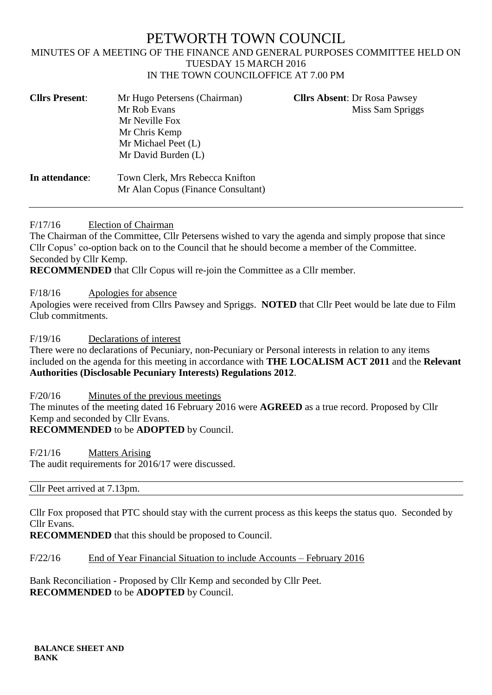# PETWORTH TOWN COUNCIL

#### MINUTES OF A MEETING OF THE FINANCE AND GENERAL PURPOSES COMMITTEE HELD ON TUESDAY 15 MARCH 2016 IN THE TOWN COUNCILOFFICE AT 7.00 PM

| <b>Cllrs Present:</b> | Mr Hugo Petersens (Chairman)<br>Mr Rob Evans<br>Mr Neville Fox<br>Mr Chris Kemp<br>Mr Michael Peet (L)<br>Mr David Burden (L) | <b>Cllrs Absent: Dr Rosa Pawsey</b><br>Miss Sam Spriggs |
|-----------------------|-------------------------------------------------------------------------------------------------------------------------------|---------------------------------------------------------|
| In attendance:        | Town Clerk, Mrs Rebecca Knifton<br>Mr Alan Copus (Finance Consultant)                                                         |                                                         |

F/17/16 Election of Chairman

The Chairman of the Committee, Cllr Petersens wished to vary the agenda and simply propose that since Cllr Copus' co-option back on to the Council that he should become a member of the Committee. Seconded by Cllr Kemp.

**RECOMMENDED** that Cllr Copus will re-join the Committee as a Cllr member.

F/18/16 Apologies for absence

Apologies were received from Cllrs Pawsey and Spriggs. **NOTED** that Cllr Peet would be late due to Film Club commitments.

F/19/16 Declarations of interest

There were no declarations of Pecuniary, non-Pecuniary or Personal interests in relation to any items included on the agenda for this meeting in accordance with **THE LOCALISM ACT 2011** and the **Relevant Authorities (Disclosable Pecuniary Interests) Regulations 2012**.

F/20/16 Minutes of the previous meetings The minutes of the meeting dated 16 February 2016 were **AGREED** as a true record. Proposed by Cllr Kemp and seconded by Cllr Evans. **RECOMMENDED** to be **ADOPTED** by Council.

F/21/16 Matters Arising The audit requirements for 2016/17 were discussed.

Cllr Peet arrived at 7.13pm.

Cllr Fox proposed that PTC should stay with the current process as this keeps the status quo. Seconded by Cllr Evans.

**RECOMMENDED** that this should be proposed to Council.

F/22/16 End of Year Financial Situation to include Accounts – February 2016

Bank Reconciliation - Proposed by Cllr Kemp and seconded by Cllr Peet. **RECOMMENDED** to be **ADOPTED** by Council.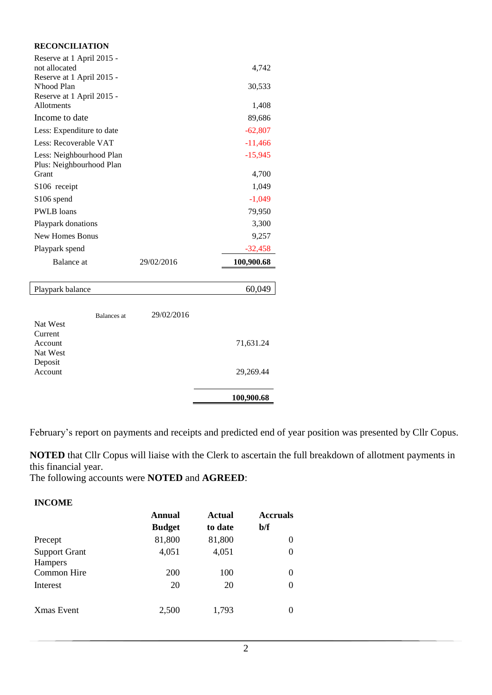| <b>RECONCILIATION</b>                                                 |            |            |
|-----------------------------------------------------------------------|------------|------------|
| Reserve at 1 April 2015 -<br>not allocated                            |            | 4,742      |
| Reserve at 1 April 2015 -<br>N'hood Plan<br>Reserve at 1 April 2015 - |            | 30,533     |
| Allotments                                                            |            | 1,408      |
| Income to date                                                        |            | 89,686     |
| Less: Expenditure to date                                             |            | $-62,807$  |
| Less: Recoverable VAT                                                 |            | $-11,466$  |
| Less: Neighbourhood Plan<br>Plus: Neighbourhood Plan                  |            | $-15,945$  |
| Grant                                                                 |            | 4,700      |
| S <sub>106</sub> receipt                                              |            | 1,049      |
| S <sub>106</sub> spend                                                |            | $-1,049$   |
| <b>PWLB</b> loans                                                     |            | 79,950     |
| Playpark donations                                                    |            | 3,300      |
| New Homes Bonus                                                       |            | 9,257      |
| Playpark spend                                                        |            | $-32,458$  |
| Balance at                                                            | 29/02/2016 | 100,900.68 |

### Playpark balance 60,049 Balances at 29/02/2016 Nat West Current Account 71,631.24 Nat West Deposit<br>Account 29,269.44 **100,900.68**

February's report on payments and receipts and predicted end of year position was presented by Cllr Copus.

**NOTED** that Cllr Copus will liaise with the Clerk to ascertain the full breakdown of allotment payments in this financial year.

The following accounts were **NOTED** and **AGREED**:

| <b>INCOME</b>                   |               |         |                 |
|---------------------------------|---------------|---------|-----------------|
|                                 | Annual        | Actual  | <b>Accruals</b> |
|                                 | <b>Budget</b> | to date | b/f             |
| Precept                         | 81,800        | 81,800  | 0               |
| <b>Support Grant</b><br>Hampers | 4,051         | 4,051   | $\theta$        |
| Common Hire                     | 200           | 100     | 0               |
| Interest                        | 20            | 20      | $\theta$        |
| <b>X</b> mas Event              | 2,500         | 1,793   | $\Omega$        |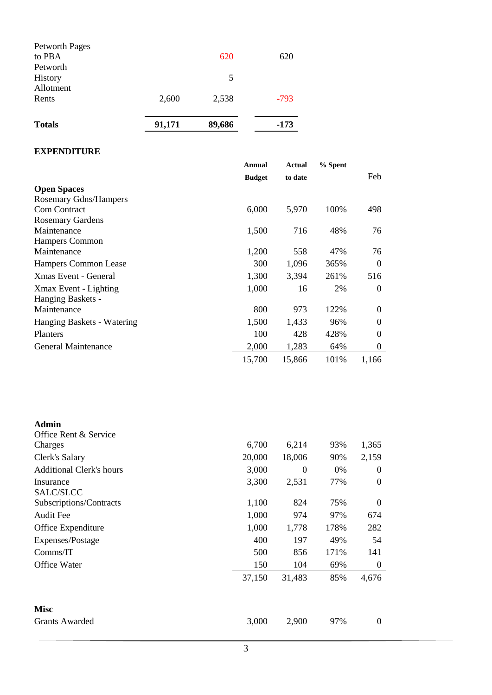| <b>Totals</b>         | 91,171 | 89,686 | $-173$ |
|-----------------------|--------|--------|--------|
| Rents                 | 2,600  | 2,538  | $-793$ |
| Allotment             |        |        |        |
| History               |        | 5      |        |
| Petworth              |        |        |        |
| to PBA                |        | 620    | 620    |
| <b>Petworth Pages</b> |        |        |        |

#### **EXPENDITURE**

|                              | Annual        | Actual  | % Spent |                |
|------------------------------|---------------|---------|---------|----------------|
|                              | <b>Budget</b> | to date |         | Feb            |
| <b>Open Spaces</b>           |               |         |         |                |
| <b>Rosemary Gdns/Hampers</b> |               |         |         |                |
| <b>Com Contract</b>          | 6,000         | 5,970   | 100%    | 498            |
| <b>Rosemary Gardens</b>      |               |         |         |                |
| Maintenance                  | 1,500         | 716     | 48%     | 76             |
| <b>Hampers Common</b>        |               |         |         |                |
| Maintenance                  | 1,200         | 558     | 47%     | 76             |
| Hampers Common Lease         | 300           | 1,096   | 365%    | $\Omega$       |
| Xmas Event - General         | 1,300         | 3,394   | 261%    | 516            |
| Xmax Event - Lighting        | 1,000         | 16      | 2%      | $\Omega$       |
| Hanging Baskets -            |               |         |         |                |
| Maintenance                  | 800           | 973     | 122%    | $\Omega$       |
| Hanging Baskets - Watering   | 1,500         | 1,433   | 96%     | $\Omega$       |
| Planters                     | 100           | 428     | 428%    | $\Omega$       |
| <b>General Maintenance</b>   | 2,000         | 1,283   | 64%     | $\overline{0}$ |
|                              | 15,700        | 15,866  | 101%    | 1,166          |

| <b>Admin</b>                    |        |          |      |                  |
|---------------------------------|--------|----------|------|------------------|
| Office Rent & Service           |        |          |      |                  |
| Charges                         | 6,700  | 6,214    | 93%  | 1,365            |
| Clerk's Salary                  | 20,000 | 18,006   | 90%  | 2,159            |
| <b>Additional Clerk's hours</b> | 3,000  | $\Omega$ | 0%   | 0                |
| Insurance<br>SALC/SLCC          | 3,300  | 2,531    | 77%  | 0                |
| Subscriptions/Contracts         | 1,100  | 824      | 75%  | $\boldsymbol{0}$ |
| <b>Audit Fee</b>                | 1,000  | 974      | 97%  | 674              |
| Office Expenditure              | 1,000  | 1,778    | 178% | 282              |
| Expenses/Postage                | 400    | 197      | 49%  | 54               |
| Comms/IT                        | 500    | 856      | 171% | 141              |
| Office Water                    | 150    | 104      | 69%  | 0                |
|                                 | 37,150 | 31,483   | 85%  | 4,676            |
| <b>Misc</b>                     |        |          |      |                  |
| <b>Grants Awarded</b>           | 3,000  | 2,900    | 97%  | 0                |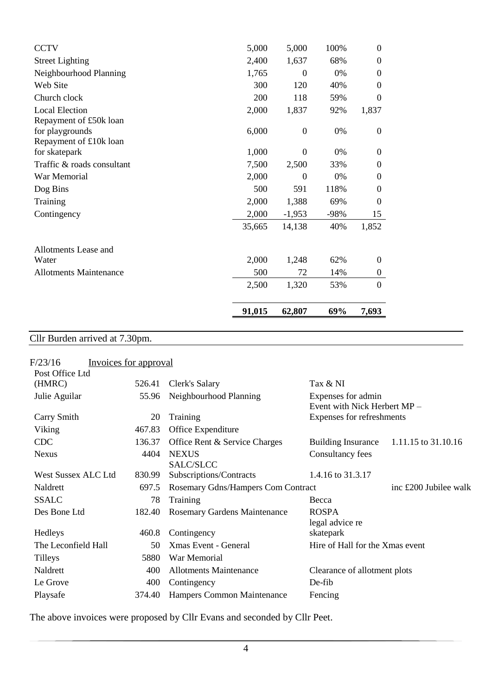| <b>CCTV</b>                   | 5,000  | 5,000            | 100% | $\Omega$         |
|-------------------------------|--------|------------------|------|------------------|
| <b>Street Lighting</b>        | 2,400  | 1,637            | 68%  | $\Omega$         |
| Neighbourhood Planning        | 1,765  | $\boldsymbol{0}$ | 0%   | $\overline{0}$   |
| Web Site                      | 300    | 120              | 40%  | $\Omega$         |
| Church clock                  | 200    | 118              | 59%  | $\Omega$         |
| <b>Local Election</b>         | 2,000  | 1,837            | 92%  | 1,837            |
| Repayment of £50k loan        |        |                  |      |                  |
| for playgrounds               | 6,000  | $\overline{0}$   | 0%   | $\overline{0}$   |
| Repayment of £10k loan        |        |                  |      |                  |
| for skatepark                 | 1,000  | $\theta$         | 0%   | $\theta$         |
| Traffic & roads consultant    | 7,500  | 2,500            | 33%  | $\Omega$         |
| War Memorial                  | 2,000  | $\overline{0}$   | 0%   | $\overline{0}$   |
| Dog Bins                      | 500    | 591              | 118% | 0                |
| Training                      | 2,000  | 1,388            | 69%  | $\theta$         |
| Contingency                   | 2,000  | $-1,953$         | -98% | 15               |
|                               | 35,665 | 14,138           | 40%  | 1,852            |
| Allotments Lease and          |        |                  |      |                  |
| Water                         | 2,000  | 1,248            | 62%  | $\theta$         |
| <b>Allotments Maintenance</b> | 500    | 72               | 14%  | $\boldsymbol{0}$ |
|                               | 2,500  | 1,320            | 53%  | $\mathbf{0}$     |
|                               | 91,015 | 62,807           | 69%  | 7,693            |

### Cllr Burden arrived at 7.30pm.

|        |                                     | Tax & NI                                           |
|--------|-------------------------------------|----------------------------------------------------|
| 55.96  | Neighbourhood Planning              | Expenses for admin<br>Event with Nick Herbert MP - |
| 20     | Training                            | Expenses for refreshments                          |
| 467.83 | Office Expenditure                  |                                                    |
| 136.37 | Office Rent & Service Charges       | 1.11.15 to 31.10.16<br><b>Building Insurance</b>   |
| 4404   | <b>NEXUS</b><br>SALC/SLCC           | Consultancy fees                                   |
| 830.99 | Subscriptions/Contracts             | 1.4.16 to 31.3.17                                  |
| 697.5  | Rosemary Gdns/Hampers Com Contract  | inc £200 Jubilee walk                              |
| 78     | Training                            | Becca                                              |
| 182.40 | <b>Rosemary Gardens Maintenance</b> | <b>ROSPA</b><br>legal advice re                    |
| 460.8  | Contingency                         | skatepark                                          |
| 50     | <b>Xmas Event - General</b>         | Hire of Hall for the Xmas event                    |
| 5880   | War Memorial                        |                                                    |
| 400    | <b>Allotments Maintenance</b>       | Clearance of allotment plots                       |
| 400    | Contingency                         | De-fib                                             |
| 374.40 | Hampers Common Maintenance          | Fencing                                            |
|        | 526.41                              | Invoices for approval<br>Clerk's Salary            |

The above invoices were proposed by Cllr Evans and seconded by Cllr Peet.